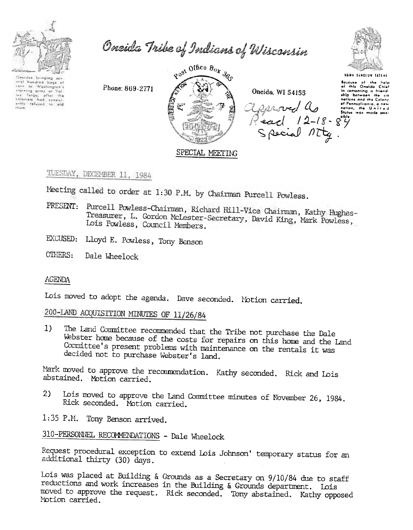

Oneida Tribe of Indians of Wisconsin

Onsides bringing sur oral hundred bogs of<br>cars to Washington's thereing army at Yal<br>Ier, ferge, after the<br>tolonists had consist-<br>antly refused to aid

 $R^{0.95}$  Office  $B_{O_X}$   $\delta_{O_Y}$ 高度

Oneida, WI 54155

algeroved a months



**BENA DENOLUM TATENE** 

Bacause of the help<br>of this Oneida Chief in comonting a friend-<br>ship between the six<br>notions and the Colony of Pennsylvania, a new<br>nation, the Units d

## SPECIAL MEETING

## TUESDAY, DECEMBER 11, 1984

Meeting called to order at 1:30 P.M. by Chairman Purcell Powless.

- PRESENT: Purcell Powless-Chairman, Richard Hill-Vice Chairman, Kathy Hughes-Treasurer, L. Gordon McLester-Secretary, David King, Mark Powless, Lois Powless, Council Members.
- EXCUSED: Lloyd E. Powless, Tony Benson

Phone: 869-2771

CTHERS: Dale Wheelock

## AGENDA

Lois moved to adopt the agenda. Dave seconded. Motion carried.

200-LAND ACQUISITION MINUTES OF 11/26/84

 $1)$ The Land Committee recommended that the Tribe not purchase the Dale Webster home because of the costs for repairs on this home and the Land Committee's present problems with maintenance on the rentals it was decided not to purchase Webster's land.

Mark moved to approve the recommendation. Kathy seconded. Rick and Lois abstained. Motion carried.

 $2<sub>2</sub>$ Lois moved to approve the Land Committee minutes of November 26, 1984. Rick seconded. Motion carried.

1:35 P.M. Tony Benson arrived.

310-PERSONIEL RECOMMENDATIONS - Dale Wheelock

Request procedural exception to extend Lois Johnson' temporary status for an additional thirty (30) days.

Lois was placed at Building & Grounds as a Secretary on 9/10/84 due to staff reductions and work increases in the Building & Grounds department. Lois moved to approve the request. Rick seconded. Tony abstained. Kathy opposed Notion carried.